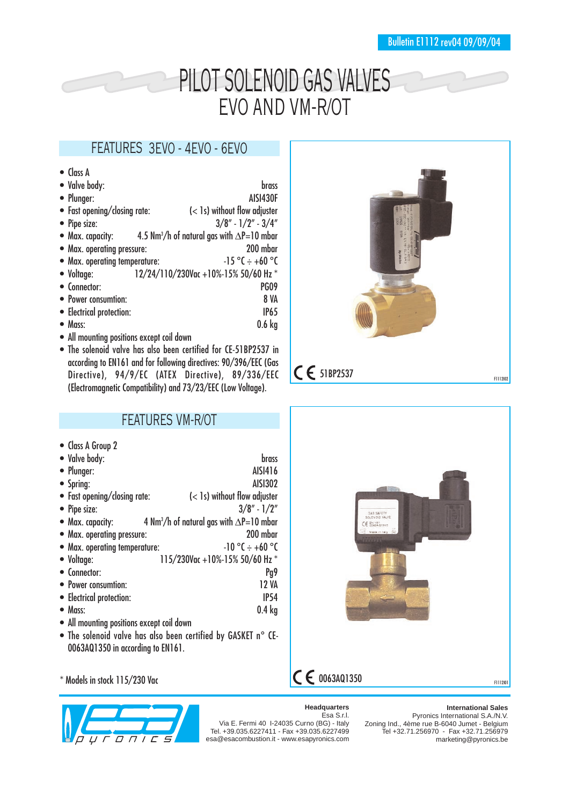# PILOT SOLENOID GAS VALVES EVO AND VM-R/OT

### FEATURES 3EVO - 4EVO - 6EVO

| $\bullet$ Class A             |                                                               |
|-------------------------------|---------------------------------------------------------------|
| • Valve body:                 | <b>brass</b>                                                  |
| • Plunger:                    | AISI430F                                                      |
| • Fast opening/closing rate:  | $\left( < 1s \right)$ without flow adjuster                   |
| • Pipe size:                  | $3/8" - 1/2" - 3/4"$                                          |
| • Max. capacity:              | 4.5 Nm <sup>3</sup> /h of natural gas with $\Delta$ P=10 mbar |
| • Max. operating pressure:    | 200 mbar                                                      |
| • Max. operating temperature: | $-15$ °C $\div$ +60 °C                                        |
| • Voltage:                    | 12/24/110/230Vac +10%-15% 50/60 Hz *                          |
| • Connector:                  | PG09                                                          |
| • Power consumtion:           | <b>8 VA</b>                                                   |
| • Electrical protection:      | <b>IP65</b>                                                   |
| $\bullet$ Mass:               | $0.6$ kg                                                      |
| $\blacksquare$                |                                                               |

- All mounting positions except coil down
- The solenoid valve has also been certified for CE-51BP2537 in according to EN161 and for following directives: 90/396/EEC (Gas Directive), 94/9/EC (ATEX Directive), 89/336/EEC (Electromagnetic Compatibility) and 73/23/EEC (Low Voltage).



### FEATURES VM-R/OT

- Class A Group 2
- $\bullet$  Valve body:  $\bullet$  brass

| TWITY NUMT.                   |                                                             |
|-------------------------------|-------------------------------------------------------------|
| • Plunger:                    | AISI416                                                     |
| • Spring:                     | <b>AISI302</b>                                              |
| • Fast opening/closing rate:  | (< 1s) without flow adjuster                                |
| • Pipe size:                  | $3/8'' - 1/2''$                                             |
| • Max. capacity:              | 4 Nm <sup>3</sup> /h of natural gas with $\Delta P=10$ mbar |
| • Max. operating pressure:    | 200 mbar                                                    |
| • Max. operating temperature: | $-10$ °C $+ 60$ °C                                          |
| • Voltage:                    | 115/230Vac +10%-15% 50/60 Hz *                              |
| • Connector:                  | Pg9                                                         |
| • Power consumtion:           | 12 VA                                                       |
| • Electrical protection:      | <b>IP54</b>                                                 |
| • Mass:                       | $0.4$ kg                                                    |
|                               |                                                             |

- All mounting positions except coil down
- The solenoid valve has also been certified by GASKET n° CE-0063AQ1350 in according to EN161.





#### **Headquarters**

#### **International Sales**

Esa S.r.l. Via E. Fermi 40 I-24035 Curno (BG) - Italy Tel. +39.035.6227411 - Fax +39.035.6227499 esa@esacombustion.it - www.esapyronics.com

Pyronics International S.A./N.V. Zoning Ind., 4ème rue B-6040 Jumet - Belgium Tel +32.71.256970 - Fax +32.71.256979 marketing@pyronics.be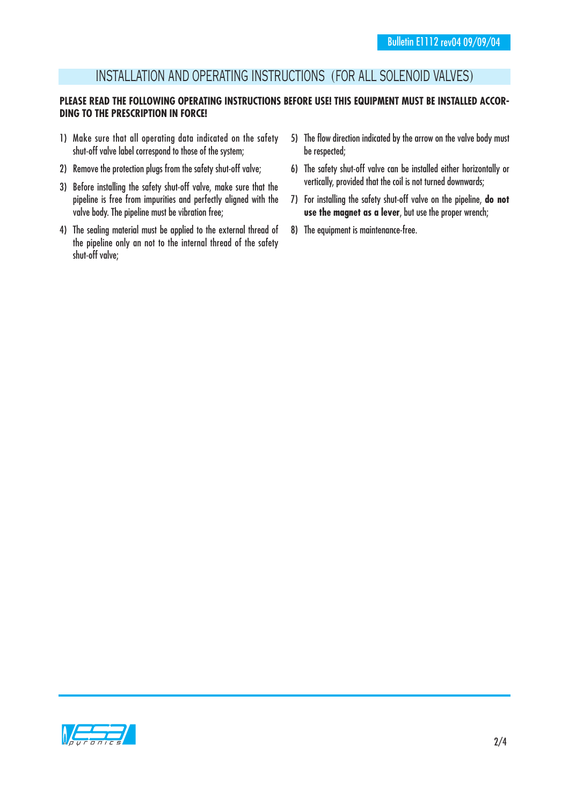### INSTALLATION AND OPERATING INSTRUCTIONS (FOR ALL SOLENOID VALVES)

### PLEASE READ THE FOLLOWING OPERATING INSTRUCTIONS BEFORE USE! THIS EQUIPMENT MUST BE INSTALLED ACCOR-**DING TO THE PRESCRIPTION IN FORCE!**

- 1) Make sure that all operating data indicated on the safety shut-off valve label correspond to those of the system;
- 2) Remove the protection plugs from the safety shut-off valve;
- 3) Before installing the safety shut-off valve, make sure that the pipeline is free from impurities and perfectly aligned with the valve body. The pipeline must be vibration free;
- 4) The sealing material must be applied to the external thread of the pipeline only an not to the internal thread of the safety shut-off valve;
- 5) The flow direction indicated by the arrow on the valve body must be respected;
- 6) The safety shut-off valve can be installed either horizontally or vertically, provided that the coil is not turned downwards;
- 7) For installing the safety shut-off valve on the pipeline, **do not use the magnet as a lever**, but use the proper wrench;
- 8) The equipment is maintenance-free.

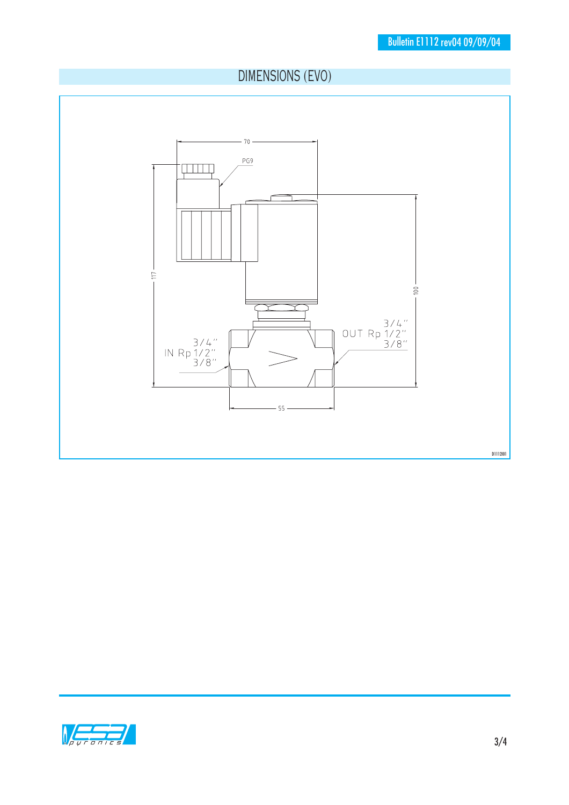## DIMENSIONS (EVO)